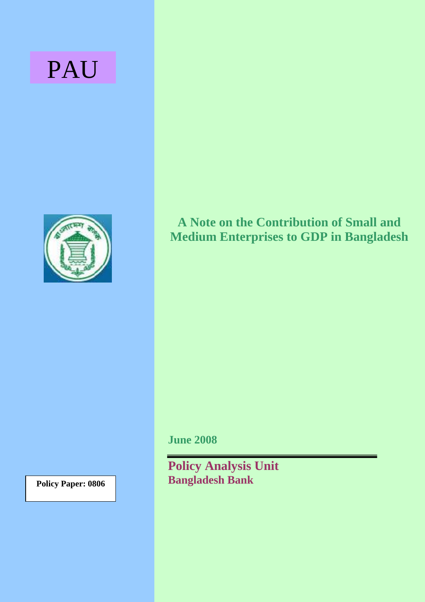# PAU



# **A Note on the Contribution of Small and Medium Enterprises to GDP in Bangladesh**

**June 2008** 

**Policy Analysis Unit Bangladesh Bank** 

**Policy Paper: 0806**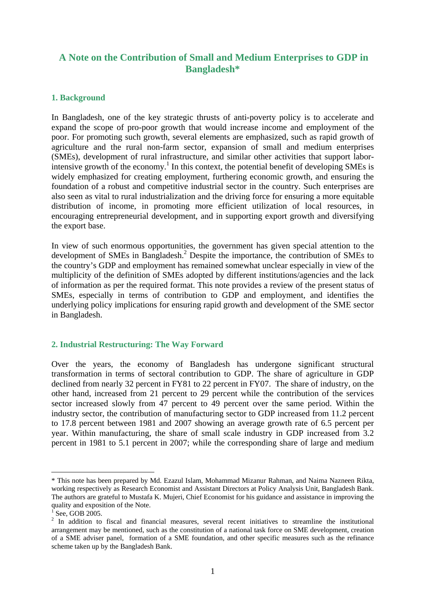# **A Note on the Contribution of Small and Medium Enterprises to GDP in Bangladesh\***

# **1. Background**

In Bangladesh, one of the key strategic thrusts of anti-poverty policy is to accelerate and expand the scope of pro-poor growth that would increase income and employment of the poor. For promoting such growth, several elements are emphasized, such as rapid growth of agriculture and the rural non-farm sector, expansion of small and medium enterprises (SMEs), development of rural infrastructure, and similar other activities that support labor-intensive growth of the economy.<sup>[1](#page-1-0)</sup> In this context, the potential benefit of developing SMEs is widely emphasized for creating employment, furthering economic growth, and ensuring the foundation of a robust and competitive industrial sector in the country. Such enterprises are also seen as vital to rural industrialization and the driving force for ensuring a more equitable distribution of income, in promoting more efficient utilization of local resources, in encouraging entrepreneurial development, and in supporting export growth and diversifying the export base.

In view of such enormous opportunities, the government has given special attention to the development of SMEs in Bangladesh.<sup>2</sup> Despite the importance, the contribution of SMEs to the country's GDP and employment has remained somewhat unclear especially in view of the multiplicity of the definition of SMEs adopted by different institutions/agencies and the lack of information as per the required format. This note provides a review of the present status of SMEs, especially in terms of contribution to GDP and employment, and identifies the underlying policy implications for ensuring rapid growth and development of the SME sector in Bangladesh.

# **2. Industrial Restructuring: The Way Forward**

Over the years, the economy of Bangladesh has undergone significant structural transformation in terms of sectoral contribution to GDP. The share of agriculture in GDP declined from nearly 32 percent in FY81 to 22 percent in FY07. The share of industry, on the other hand, increased from 21 percent to 29 percent while the contribution of the services sector increased slowly from 47 percent to 49 percent over the same period. Within the industry sector, the contribution of manufacturing sector to GDP increased from 11.2 percent to 17.8 percent between 1981 and 2007 showing an average growth rate of 6.5 percent per year. Within manufacturing, the share of small scale industry in GDP increased from 3.2 percent in 1981 to 5.1 percent in 2007; while the corresponding share of large and medium

 $\overline{a}$ 

<span id="page-1-0"></span><sup>\*</sup> This note has been prepared by Md. Ezazul Islam, Mohammad Mizanur Rahman, and Naima Nazneen Rikta, working respectively as Research Economist and Assistant Directors at Policy Analysis Unit, Bangladesh Bank. The authors are grateful to Mustafa K. Mujeri, Chief Economist for his guidance and assistance in improving the quality and exposition of the Note.<br><sup>1</sup> See, GOB 2005.<br><sup>2</sup> In addition to fiscal and financial measures, several recent initiatives to streamline the institutional

<span id="page-1-1"></span>arrangement may be mentioned, such as the constitution of a national task force on SME development, creation of a SME adviser panel, formation of a SME foundation, and other specific measures such as the refinance scheme taken up by the Bangladesh Bank.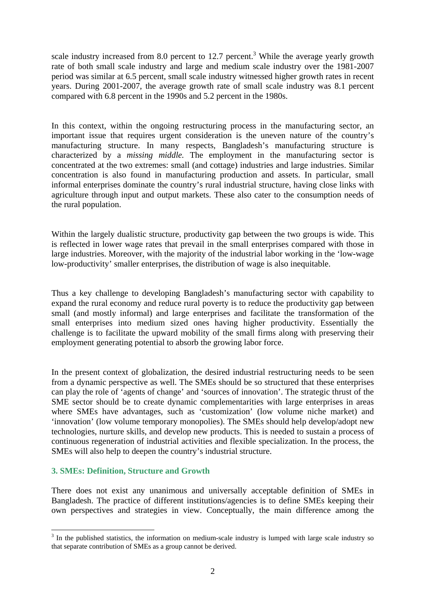scale industry increased from 8.0 percent to 12.7 percent.<sup>[3](#page-2-0)</sup> While the average yearly growth rate of both small scale industry and large and medium scale industry over the 1981-2007 period was similar at 6.5 percent, small scale industry witnessed higher growth rates in recent years. During 2001-2007, the average growth rate of small scale industry was 8.1 percent compared with 6.8 percent in the 1990s and 5.2 percent in the 1980s.

In this context, within the ongoing restructuring process in the manufacturing sector, an important issue that requires urgent consideration is the uneven nature of the country's manufacturing structure. In many respects, Bangladesh's manufacturing structure is characterized by a *missing middle.* The employment in the manufacturing sector is concentrated at the two extremes: small (and cottage) industries and large industries. Similar concentration is also found in manufacturing production and assets. In particular, small informal enterprises dominate the country's rural industrial structure, having close links with agriculture through input and output markets. These also cater to the consumption needs of the rural population.

Within the largely dualistic structure, productivity gap between the two groups is wide. This is reflected in lower wage rates that prevail in the small enterprises compared with those in large industries. Moreover, with the majority of the industrial labor working in the 'low-wage low-productivity' smaller enterprises, the distribution of wage is also inequitable.

Thus a key challenge to developing Bangladesh's manufacturing sector with capability to expand the rural economy and reduce rural poverty is to reduce the productivity gap between small (and mostly informal) and large enterprises and facilitate the transformation of the small enterprises into medium sized ones having higher productivity. Essentially the challenge is to facilitate the upward mobility of the small firms along with preserving their employment generating potential to absorb the growing labor force.

In the present context of globalization, the desired industrial restructuring needs to be seen from a dynamic perspective as well. The SMEs should be so structured that these enterprises can play the role of 'agents of change' and 'sources of innovation'. The strategic thrust of the SME sector should be to create dynamic complementarities with large enterprises in areas where SMEs have advantages, such as 'customization' (low volume niche market) and 'innovation' (low volume temporary monopolies). The SMEs should help develop/adopt new technologies, nurture skills, and develop new products. This is needed to sustain a process of continuous regeneration of industrial activities and flexible specialization. In the process, the SMEs will also help to deepen the country's industrial structure.

# **3. SMEs: Definition, Structure and Growth**

 $\overline{a}$ 

There does not exist any unanimous and universally acceptable definition of SMEs in Bangladesh. The practice of different institutions/agencies is to define SMEs keeping their own perspectives and strategies in view. Conceptually, the main difference among the

<span id="page-2-0"></span> $3$  In the published statistics, the information on medium-scale industry is lumped with large scale industry so that separate contribution of SMEs as a group cannot be derived.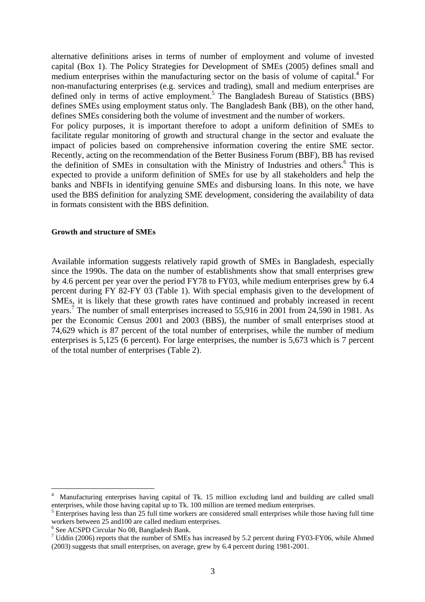alternative definitions arises in terms of number of employment and volume of invested capital (Box 1). The Policy Strategies for Development of SMEs (2005) defines small and medium enterprises within the manufacturing sector on the basis of volume of capital.<sup>[4](#page-3-0)</sup> For non-manufacturing enterprises (e.g. services and trading), small and medium enterprises are defined only in terms of active employment.<sup>[5](#page-3-1)</sup> The Bangladesh Bureau of Statistics (BBS) defines SMEs using employment status only. The Bangladesh Bank (BB), on the other hand, defines SMEs considering both the volume of investment and the number of workers. For policy purposes, it is important therefore to adopt a uniform definition of SMEs to facilitate regular monitoring of growth and structural change in the sector and evaluate the impact of policies based on comprehensive information covering the entire SME sector. Recently, acting on the recommendation of the Better Business Forum (BBF), BB has revised the definition of SMEs in consultation with the Ministry of Industries and others.<sup>[6](#page-3-2)</sup> This is expected to provide a uniform definition of SMEs for use by all stakeholders and help the banks and NBFIs in identifying genuine SMEs and disbursing loans. In this note, we have used the BBS definition for analyzing SME development, considering the availability of data

#### **Growth and structure of SMEs**

in formats consistent with the BBS definition.

Available information suggests relatively rapid growth of SMEs in Bangladesh, especially since the 1990s. The data on the number of establishments show that small enterprises grew by 4.6 percent per year over the period FY78 to FY03, while medium enterprises grew by 6.4 percent during FY 82-FY 03 (Table 1). With special emphasis given to the development of SMEs, it is likely that these growth rates have continued and probably increased in recent years.[7](#page-3-3) The number of small enterprises increased to 55,916 in 2001 from 24,590 in 1981. As per the Economic Census 2001 and 2003 (BBS), the number of small enterprises stood at 74,629 which is 87 percent of the total number of enterprises, while the number of medium enterprises is 5,125 (6 percent). For large enterprises, the number is 5,673 which is 7 percent of the total number of enterprises (Table 2).

 $\overline{a}$ 

<span id="page-3-0"></span><sup>4</sup> Manufacturing enterprises having capital of Tk. 15 million excluding land and building are called small enterprises, while those having capital up to Tk. 100 million are termed medium enterprises.

<span id="page-3-1"></span> $5$  Enterprises having less than  $25$  full time workers are considered small enterprises while those having full time workers between 25 and 100 are called medium enterprises.<br><sup>6</sup> See ACSPD Circular No 08, Bangladesh Bank.

<span id="page-3-2"></span>

<span id="page-3-3"></span>Uddin (2006) reports that the number of SMEs has increased by 5.2 percent during FY03-FY06, while Ahmed (2003) suggests that small enterprises, on average, grew by 6.4 percent during 1981-2001.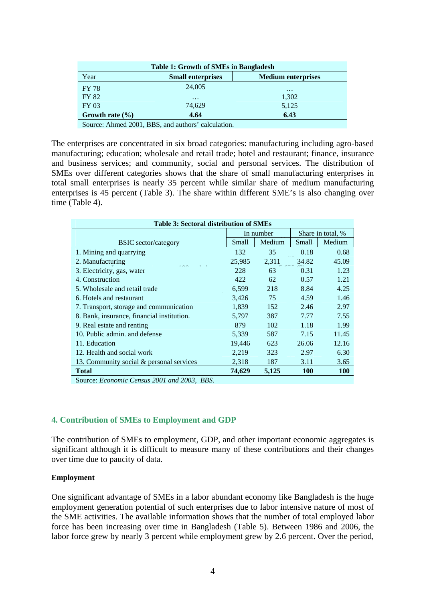| Table 1: Growth of SMEs in Bangladesh |                                                       |           |  |  |  |
|---------------------------------------|-------------------------------------------------------|-----------|--|--|--|
| Year                                  | <b>Small enterprises</b><br><b>Medium enterprises</b> |           |  |  |  |
| FY 78                                 | 24,005                                                | $\ddotsc$ |  |  |  |
| FY 82                                 | $\cdots$                                              | 1,302     |  |  |  |
| <b>FY 03</b>                          | 74,629                                                | 5,125     |  |  |  |
| Growth rate $(\% )$                   | 4.64                                                  | 6.43      |  |  |  |

Source: Ahmed 2001, BBS, and authors' calculation.

The enterprises are concentrated in six broad categories: manufacturing including agro-based manufacturing; education; wholesale and retail trade; hotel and restaurant; finance, insurance and business services; and community, social and personal services. The distribution of SMEs over different categories shows that the share of small manufacturing enterprises in total small enterprises is nearly 35 percent while similar share of medium manufacturing enterprises is 45 percent (Table 3). The share within different SME's is also changing over time (Table 4).

| <b>Table 3: Sectoral distribution of SMEs</b>                                                                                                                                                                                                                                                                                                               |  |  |  |  |  |
|-------------------------------------------------------------------------------------------------------------------------------------------------------------------------------------------------------------------------------------------------------------------------------------------------------------------------------------------------------------|--|--|--|--|--|
| Share in total, %<br>In number                                                                                                                                                                                                                                                                                                                              |  |  |  |  |  |
| Small<br>Medium<br>Medium<br>Small<br><b>BSIC</b> sector/category                                                                                                                                                                                                                                                                                           |  |  |  |  |  |
| 35<br>0.18<br>1. Mining and quarrying<br>132<br>0.68<br>an and                                                                                                                                                                                                                                                                                              |  |  |  |  |  |
| 25,985<br>2,311<br>45.09<br>2. Manufacturing<br>34.82                                                                                                                                                                                                                                                                                                       |  |  |  |  |  |
| 0.31<br>3. Electricity, gas, water<br>228<br>63<br>1.23                                                                                                                                                                                                                                                                                                     |  |  |  |  |  |
| 0.57<br>1.21<br>422<br>62                                                                                                                                                                                                                                                                                                                                   |  |  |  |  |  |
| 6,599<br>218<br>4.25<br>5. Wholesale and retail trade<br>8.84                                                                                                                                                                                                                                                                                               |  |  |  |  |  |
| 6. Hotels and restaurant<br>3,426<br>75<br>4.59<br>1.46                                                                                                                                                                                                                                                                                                     |  |  |  |  |  |
| 1,839<br>152<br>2.46<br>2.97<br>7. Transport, storage and communication                                                                                                                                                                                                                                                                                     |  |  |  |  |  |
| 5,797<br>387<br>7.55<br>8. Bank, insurance, financial institution.<br>7.77                                                                                                                                                                                                                                                                                  |  |  |  |  |  |
| 102<br>879<br>1.18<br>1.99<br>9. Real estate and renting                                                                                                                                                                                                                                                                                                    |  |  |  |  |  |
| 10. Public admin, and defense<br>5,339<br>587<br>7.15<br>11.45                                                                                                                                                                                                                                                                                              |  |  |  |  |  |
| 19,446<br>12.16<br>623<br>26.06                                                                                                                                                                                                                                                                                                                             |  |  |  |  |  |
| 2,219<br>12. Health and social work<br>323<br>2.97<br>6.30                                                                                                                                                                                                                                                                                                  |  |  |  |  |  |
| 13. Community social & personal services<br>187<br>3.11<br>2,318<br>3.65                                                                                                                                                                                                                                                                                    |  |  |  |  |  |
| <b>100</b><br>74,629<br>5,125<br><b>100</b>                                                                                                                                                                                                                                                                                                                 |  |  |  |  |  |
| $\mathcal{C}$ $\mathcal{D}$ $\mathcal{D}$ $\mathcal{D}$ $\mathcal{D}$ $\mathcal{D}$ $\mathcal{D}$ $\mathcal{D}$ $\mathcal{D}$ $\mathcal{D}$ $\mathcal{D}$ $\mathcal{D}$ $\mathcal{D}$ $\mathcal{D}$ $\mathcal{D}$ $\mathcal{D}$ $\mathcal{D}$ $\mathcal{D}$ $\mathcal{D}$ $\mathcal{D}$ $\mathcal{D}$ $\mathcal{D}$ $\mathcal{D}$ $\mathcal{D}$ $\mathcal{$ |  |  |  |  |  |

Source: *Economic Census 2001 and 2003, BBS.*

# **4. Contribution of SMEs to Employment and GDP**

The contribution of SMEs to employment, GDP, and other important economic aggregates is significant although it is difficult to measure many of these contributions and their changes over time due to paucity of data.

#### **Employment**

One significant advantage of SMEs in a labor abundant economy like Bangladesh is the huge employment generation potential of such enterprises due to labor intensive nature of most of the SME activities. The available information shows that the number of total employed labor force has been increasing over time in Bangladesh (Table 5). Between 1986 and 2006, the labor force grew by nearly 3 percent while employment grew by 2.6 percent. Over the period,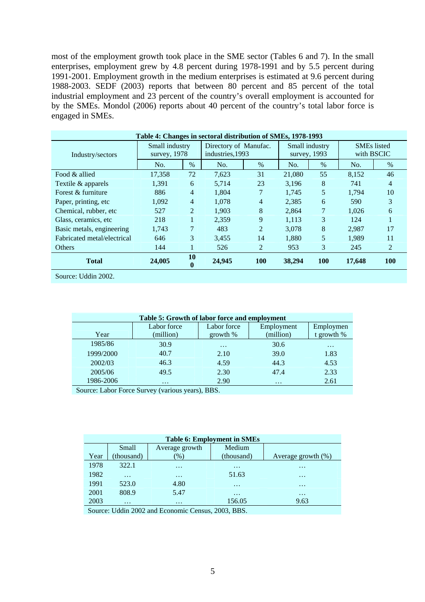most of the employment growth took place in the SME sector (Tables 6 and 7). In the small enterprises, employment grew by 4.8 percent during 1978-1991 and by 5.5 percent during 1991-2001. Employment growth in the medium enterprises is estimated at 9.6 percent during 1988-2003. SEDF (2003) reports that between 80 percent and 85 percent of the total industrial employment and 23 percent of the country's overall employment is accounted for by the SMEs. Mondol (2006) reports about 40 percent of the country's total labor force is engaged in SMEs.

| Table 4: Changes in sectoral distribution of SMEs, 1978-1993 |                                |                |                                           |                |                                |            |                                  |            |
|--------------------------------------------------------------|--------------------------------|----------------|-------------------------------------------|----------------|--------------------------------|------------|----------------------------------|------------|
| Industry/sectors                                             | Small industry<br>survey, 1978 |                | Directory of Manufac.<br>industries, 1993 |                | Small industry<br>survey, 1993 |            | <b>SMEs</b> listed<br>with BSCIC |            |
|                                                              | No.                            | $\%$           | No.                                       | $\%$           | No.                            | $\%$       | No.                              | $\%$       |
| Food & allied                                                | 17.358                         | 72             | 7.623                                     | 31             | 21,080                         | 55         | 8.152                            | 46         |
| Textile & apparels                                           | 1.391                          | 6              | 5.714                                     | 23             | 3.196                          | 8          | 741                              | 4          |
| Forest & furniture                                           | 886                            | $\overline{4}$ | 1.804                                     | $\overline{7}$ | 1,745                          | 5          | 1.794                            | 10         |
| Paper, printing, etc                                         | 1,092                          | $\overline{4}$ | 1.078                                     | 4              | 2,385                          | 6          | 590                              | 3          |
| Chemical, rubber, etc.                                       | 527                            | $\overline{2}$ | 1.903                                     | 8              | 2.864                          | 7          | 1.026                            | 6          |
| Glass, ceramics, etc.                                        | 218                            |                | 2,359                                     | 9              | 1,113                          | 3          | 124                              |            |
| Basic metals, engineering                                    | 1,743                          | 7              | 483                                       | $\overline{2}$ | 3.078                          | 8          | 2.987                            | 17         |
| Fabricated metal/electrical                                  | 646                            | 3              | 3,455                                     | 14             | 1,880                          | 5          | 1,989                            | 11         |
| <b>Others</b>                                                | 144                            |                | 526                                       | $\overline{2}$ | 953                            | 3          | 245                              | 2          |
| <b>Total</b>                                                 | 24,005                         | 10<br>$\bf{0}$ | 24,945                                    | <b>100</b>     | 38,294                         | <b>100</b> | 17,648                           | <b>100</b> |

Source: Uddin 2002.

| Table 5: Growth of labor force and employment |             |                                        |           |            |  |  |  |
|-----------------------------------------------|-------------|----------------------------------------|-----------|------------|--|--|--|
|                                               | Labor force | Labor force<br>Employment<br>Employmen |           |            |  |  |  |
| Year                                          | (million)   | growth $%$                             | (million) | t growth % |  |  |  |
| 1985/86                                       | 30.9        | $\ddotsc$                              | 30.6      | $\ddotsc$  |  |  |  |
| 1999/2000                                     | 40.7        | 2.10                                   | 39.0      | 1.83       |  |  |  |
| 2002/03                                       | 46.3        | 4.59                                   | 44.3      | 4.53       |  |  |  |
| 2005/06                                       | 49.5        | 2.30                                   | 47.4      | 2.33       |  |  |  |
| 1986-2006                                     | $\cdots$    | 2.90                                   | $\cdots$  | 2.61       |  |  |  |

Source: Labor Force Survey (various years), BBS.

| <b>Table 6: Employment in SMEs</b>                 |            |                |            |                       |  |
|----------------------------------------------------|------------|----------------|------------|-----------------------|--|
|                                                    | Small      | Average growth | Medium     |                       |  |
| Year                                               | (thousand) | $(\%)$         | (thousand) | Average growth $(\%)$ |  |
| 1978                                               | 322.1      | $\cdots$       | $\cdots$   | $\cdots$              |  |
| 1982                                               | $\ddotsc$  | $\cdots$       | 51.63      | $\ddotsc$             |  |
| 1991                                               | 523.0      | 4.80           | $\ddotsc$  | $\cdots$              |  |
| 2001                                               | 808.9      | 5.47           | $\ddotsc$  | $\cdots$              |  |
| 2003                                               | $\cdots$   | $\cdots$       | 156.05     | 9.63                  |  |
| Source: Uddin 2002 and Economic Census, 2003, BBS. |            |                |            |                       |  |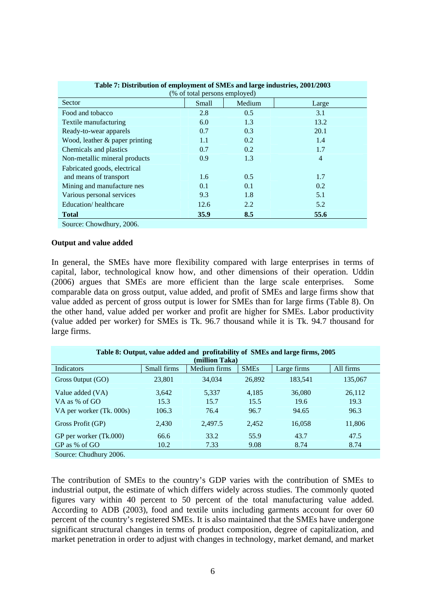| <b>Table 7: Distribution of employment of SMES and large industries, 2001/2005</b><br>(% of total persons employed) |       |        |                |  |  |
|---------------------------------------------------------------------------------------------------------------------|-------|--------|----------------|--|--|
| Sector                                                                                                              | Small | Medium | Large          |  |  |
| Food and tobacco                                                                                                    | 2.8   | 0.5    | 3.1            |  |  |
| Textile manufacturing                                                                                               | 6.0   | 1.3    | 13.2           |  |  |
| Ready-to-wear apparels                                                                                              | 0.7   | 0.3    | 20.1           |  |  |
| Wood, leather & paper printing                                                                                      | 1.1   | 0.2    | 1.4            |  |  |
| Chemicals and plastics                                                                                              | 0.7   | 0.2    | 1.7            |  |  |
| Non-metallic mineral products                                                                                       | 0.9   | 1.3    | $\overline{4}$ |  |  |
| Fabricated goods, electrical                                                                                        |       |        |                |  |  |
| and means of transport                                                                                              | 1.6   | 0.5    | 1.7            |  |  |
| Mining and manufacture nes                                                                                          | 0.1   | 0.1    | 0.2            |  |  |
| Various personal services                                                                                           | 9.3   | 1.8    | 5.1            |  |  |
| Education/healthcare                                                                                                | 12.6  | 2.2    | 5.2            |  |  |
| <b>Total</b>                                                                                                        | 35.9  | 8.5    | 55.6           |  |  |
|                                                                                                                     |       |        |                |  |  |

**Table 7: Distribution of employment of SMEs and large industries, 2001/2003** 

Source: Chowdhury, 2006.

#### **Output and value added**

(value added per worker) for SMEs is Tk. 96.7 thousand while it is Tk. 94.7 thousand for large firms. In general, the SMEs have more flexibility compared with large enterprises in terms of capital, labor, technological know how, and other dimensions of their operation. Uddin (2006) argues that SMEs are more efficient than the large scale enterprises. Some comparable data on gross output, value added, and profit of SMEs and large firms show that value added as percent of gross output is lower for SMEs than for large firms (Table 8). On the other hand, value added per worker and profit are higher for SMEs. Labor productivity

| Table 8: Output, value added and profitability of SMEs and large firms, 2005 |             |                |             |             |           |
|------------------------------------------------------------------------------|-------------|----------------|-------------|-------------|-----------|
|                                                                              |             | (million Taka) |             |             |           |
| Indicators                                                                   | Small firms | Medium firms   | <b>SMEs</b> | Large firms | All firms |
| Gross Output (GO)                                                            | 23,801      | 34,034         | 26,892      | 183,541     | 135,067   |
| Value added (VA)                                                             | 3,642       | 5,337          | 4,185       | 36,080      | 26,112    |
| VA as % of GO                                                                | 15.3        | 15.7           | 15.5        | 19.6        | 19.3      |
| VA per worker (Tk. 000s)                                                     | 106.3       | 76.4           | 96.7        | 94.65       | 96.3      |
| Gross Profit (GP)                                                            | 2,430       | 2,497.5        | 2,452       | 16,058      | 11,806    |
| GP per worker (Tk.000)                                                       | 66.6        | 33.2           | 55.9        | 43.7        | 47.5      |
| GP as % of GO                                                                | 10.2        | 7.33           | 9.08        | 8.74        | 8.74      |
| Source: Chudhury 2006.                                                       |             |                |             |             |           |

The contribution of SMEs to the country's GDP varies with the contribution of SMEs to industrial output, the estimate of which differs widely across studies. The commonly quoted figures vary within 40 percent to 50 percent of the total manufacturing value added. According to ADB (2003), food and textile units including garments account for over 60 percent of the country's registered SMEs. It is also maintained that the SMEs have undergone significant structural changes in terms of product composition, degree of capitalization, and market penetration in order to adjust with changes in technology, market demand, and market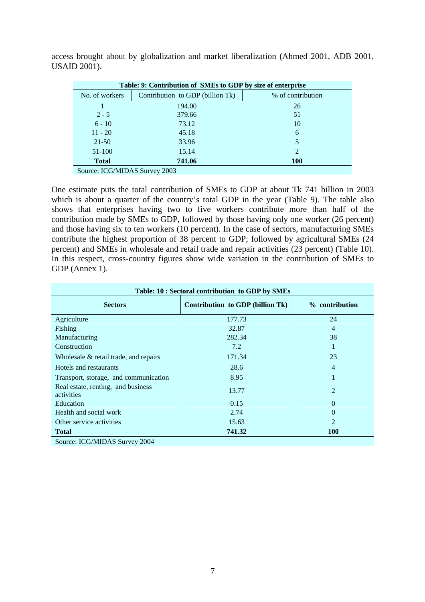| Table: 9: Contribution of SMEs to GDP by size of enterprise |                                  |                   |  |  |
|-------------------------------------------------------------|----------------------------------|-------------------|--|--|
| No. of workers                                              | Contribution to GDP (billion Tk) | % of contribution |  |  |
|                                                             | 194.00                           | 26                |  |  |
| $2 - 5$                                                     | 379.66                           | 51                |  |  |
| $6 - 10$                                                    | 73.12                            | 10                |  |  |
| $11 - 20$                                                   | 45.18                            | 6                 |  |  |
| 21-50                                                       | 33.96                            | 5                 |  |  |
| 51-100                                                      | 15.14                            | $\overline{c}$    |  |  |
| <b>Total</b>                                                | 741.06                           | <b>100</b>        |  |  |
| TCTA<br>0.000<br>$\sim$                                     |                                  |                   |  |  |

access brought about by globalization and market liberalization (Ahmed 2001, ADB 2001, USAID 2001).

Source: ICG/MIDAS Survey 2003

One estimate puts the total contribution of SMEs to GDP at about Tk 741 billion in 2003 which is about a quarter of the country's total GDP in the year (Table 9). The table also shows that enterprises having two to five workers contribute more than half of the contribution made by SMEs to GDP, followed by those having only one worker (26 percent) and those having six to ten workers (10 percent). In the case of sectors, manufacturing SMEs contribute the highest proportion of 38 percent to GDP; followed by agricultural SMEs (24 percent) and SMEs in wholesale and retail trade and repair activities (23 percent) (Table 10). In this respect, cross-country figures show wide variation in the contribution of SMEs to GDP (Annex 1).

| Table: 10 : Sectoral contribution to GDP by SMEs                     |        |                |  |  |  |  |
|----------------------------------------------------------------------|--------|----------------|--|--|--|--|
| Contribution to GDP (billion Tk)<br>% contribution<br><b>Sectors</b> |        |                |  |  |  |  |
| Agriculture                                                          | 177.73 | 24             |  |  |  |  |
| Fishing                                                              | 32.87  | $\overline{4}$ |  |  |  |  |
| Manufacturing                                                        | 282.34 | 38             |  |  |  |  |
| Construction                                                         | 7.2    |                |  |  |  |  |
| Wholesale $&$ retail trade, and repairs                              | 171.34 | 23             |  |  |  |  |
| Hotels and restaurants                                               | 28.6   | $\overline{4}$ |  |  |  |  |
| Transport, storage, and communication                                | 8.95   | 1              |  |  |  |  |
| Real estate, renting, and business<br>activities                     | 13.77  | $\overline{2}$ |  |  |  |  |
| Education                                                            | 0.15   | $\Omega$       |  |  |  |  |
| Health and social work                                               | 2.74   | $\Omega$       |  |  |  |  |
| Other service activities                                             | 15.63  | $\overline{2}$ |  |  |  |  |
| <b>Total</b>                                                         | 741.32 | <b>100</b>     |  |  |  |  |
| Source: ICG/MIDAS Survey 2004                                        |        |                |  |  |  |  |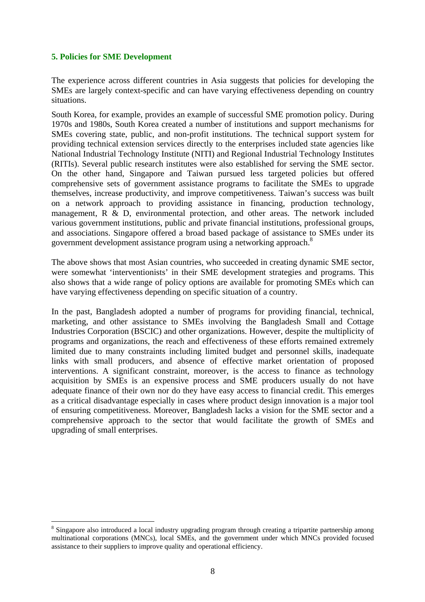# **5. Policies for SME Development**

 $\overline{a}$ 

The experience across different countries in Asia suggests that policies for developing the SMEs are largely context-specific and can have varying effectiveness depending on country situations.

South Korea, for example, provides an example of successful SME promotion policy. During 1970s and 1980s, South Korea created a number of institutions and support mechanisms for SMEs covering state, public, and non-profit institutions. The technical support system for providing technical extension services directly to the enterprises included state agencies like National Industrial Technology Institute (NITI) and Regional Industrial Technology Institutes (RITIs). Several public research institutes were also established for serving the SME sector. On the other hand, Singapore and Taiwan pursued less targeted policies but offered comprehensive sets of government assistance programs to facilitate the SMEs to upgrade themselves, increase productivity, and improve competitiveness. Taiwan's success was built on a network approach to providing assistance in financing, production technology, management, R & D, environmental protection, and other areas. The network included various government institutions, public and private financial institutions, professional groups, and associations. Singapore offered a broad based package of assistance to SMEs under its government development assistance program using a networking approach.<sup>[8](#page-8-0)</sup>

The above shows that most Asian countries, who succeeded in creating dynamic SME sector, were somewhat 'interventionists' in their SME development strategies and programs. This also shows that a wide range of policy options are available for promoting SMEs which can have varying effectiveness depending on specific situation of a country.

In the past, Bangladesh adopted a number of programs for providing financial, technical, marketing, and other assistance to SMEs involving the Bangladesh Small and Cottage Industries Corporation (BSCIC) and other organizations. However, despite the multiplicity of programs and organizations, the reach and effectiveness of these efforts remained extremely limited due to many constraints including limited budget and personnel skills, inadequate links with small producers, and absence of effective market orientation of proposed interventions. A significant constraint, moreover, is the access to finance as technology acquisition by SMEs is an expensive process and SME producers usually do not have adequate finance of their own nor do they have easy access to financial credit. This emerges as a critical disadvantage especially in cases where product design innovation is a major tool of ensuring competitiveness. Moreover, Bangladesh lacks a vision for the SME sector and a comprehensive approach to the sector that would facilitate the growth of SMEs and upgrading of small enterprises.

<span id="page-8-0"></span><sup>&</sup>lt;sup>8</sup> Singapore also introduced a local industry upgrading program through creating a tripartite partnership among multinational corporations (MNCs), local SMEs, and the government under which MNCs provided focused assistance to their suppliers to improve quality and operational efficiency.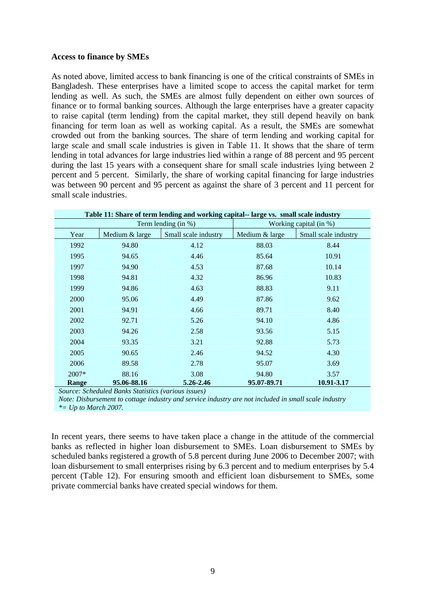#### **Access to finance by SMEs**

As noted above, limited access to bank financing is one of the critical constraints of SMEs in Bangladesh. These enterprises have a limited scope to access the capital market for term lending as well. As such, the SMEs are almost fully dependent on either own sources of finance or to formal banking sources. Although the large enterprises have a greater capacity to raise capital (term lending) from the capital market, they still depend heavily on bank financing for term loan as well as working capital. As a result, the SMEs are somewhat crowded out from the banking sources. The share of term lending and working capital for large scale and small scale industries is given in Table 11. It shows that the share of term lending in total advances for large industries lied within a range of 88 percent and 95 percent during the last 15 years with a consequent share for small scale industries lying between 2 percent and 5 percent. Similarly, the share of working capital financing for large industries was between 90 percent and 95 percent as against the share of 3 percent and 11 percent for small scale industries.

| Table 11: Share of term lending and working capital-- large vs. small scale industry |                     |                      |                |                        |  |
|--------------------------------------------------------------------------------------|---------------------|----------------------|----------------|------------------------|--|
|                                                                                      | Term lending (in %) |                      |                | Working capital (in %) |  |
| Year                                                                                 | Medium & large      | Small scale industry | Medium & large | Small scale industry   |  |
| 1992                                                                                 | 94.80               | 4.12                 | 88.03          | 8.44                   |  |
| 1995                                                                                 | 94.65               | 4.46                 | 85.64          | 10.91                  |  |
| 1997                                                                                 | 94.90               | 4.53                 | 87.68          | 10.14                  |  |
| 1998                                                                                 | 94.81               | 4.32                 | 86.96          | 10.83                  |  |
| 1999                                                                                 | 94.86               | 4.63                 | 88.83          | 9.11                   |  |
| 2000                                                                                 | 95.06               | 4.49                 | 87.86          | 9.62                   |  |
| 2001                                                                                 | 94.91               | 4.66                 | 89.71          | 8.40                   |  |
| 2002                                                                                 | 92.71               | 5.26                 | 94.10          | 4.86                   |  |
| 2003                                                                                 | 94.26               | 2.58                 | 93.56          | 5.15                   |  |
| 2004                                                                                 | 93.35               | 3.21                 | 92.88          | 5.73                   |  |
| 2005                                                                                 | 90.65               | 2.46                 | 94.52          | 4.30                   |  |
| 2006                                                                                 | 89.58               | 2.78                 | 95.07          | 3.69                   |  |
| 2007*                                                                                | 88.16               | 3.08                 | 94.80          | 3.57                   |  |
| Range                                                                                | 95.06-88.16         | 5.26-2.46            | 95.07-89.71    | 10.91-3.17             |  |

*Source: Scheduled Banks Statistics (various issues)*

*Note: Disbursement to cottage industry and service industry are not included in small scale industry \*= Up to March 2007.*

In recent years, there seems to have taken place a change in the attitude of the commercial banks as reflected in higher loan disbursement to SMEs. Loan disbursement to SMEs by scheduled banks registered a growth of 5.8 percent during June 2006 to December 2007; with loan disbursement to small enterprises rising by 6.3 percent and to medium enterprises by 5.4 percent (Table 12). For ensuring smooth and efficient loan disbursement to SMEs, some private commercial banks have created special windows for them.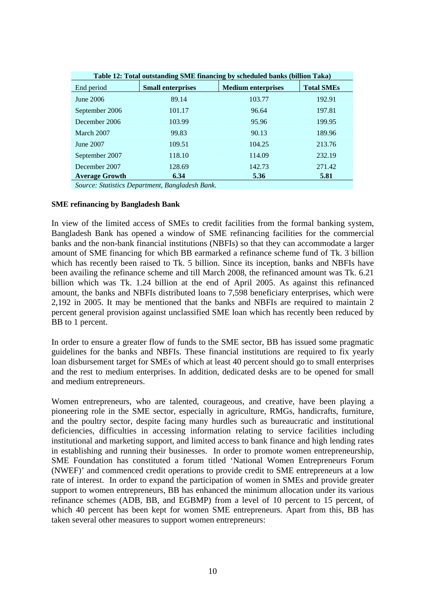| Table 12: Total outstanding SME financing by scheduled banks (billion Taka) |                          |                           |                   |  |  |
|-----------------------------------------------------------------------------|--------------------------|---------------------------|-------------------|--|--|
| End period                                                                  | <b>Small enterprises</b> | <b>Medium enterprises</b> | <b>Total SMEs</b> |  |  |
| June 2006                                                                   | 89.14                    | 103.77                    | 192.91            |  |  |
| September 2006                                                              | 101.17                   | 96.64                     | 197.81            |  |  |
| December 2006                                                               | 103.99                   | 95.96                     | 199.95            |  |  |
| March 2007                                                                  | 99.83                    | 90.13                     | 189.96            |  |  |
| June 2007                                                                   | 109.51                   | 104.25                    | 213.76            |  |  |
| September 2007                                                              | 118.10                   | 114.09                    | 232.19            |  |  |
| December 2007                                                               | 128.69                   | 142.73                    | 271.42            |  |  |
| <b>Average Growth</b>                                                       | 6.34                     | 5.36                      | 5.81              |  |  |
| Course Statistics Department, Rangladesh Rank                               |                          |                           |                   |  |  |

*Source: Statistics Department, Bangladesh Bank.* 

#### **SME refinancing by Bangladesh Bank**

In view of the limited access of SMEs to credit facilities from the formal banking system, Bangladesh Bank has opened a window of SME refinancing facilities for the commercial banks and the non-bank financial institutions (NBFIs) so that they can accommodate a larger amount of SME financing for which BB earmarked a refinance scheme fund of Tk. 3 billion which has recently been raised to Tk. 5 billion. Since its inception, banks and NBFIs have been availing the refinance scheme and till March 2008, the refinanced amount was Tk. 6.21 billion which was Tk. 1.24 billion at the end of April 2005. As against this refinanced amount, the banks and NBFIs distributed loans to 7,598 beneficiary enterprises, which were 2,192 in 2005. It may be mentioned that the banks and NBFIs are required to maintain 2 percent general provision against unclassified SME loan which has recently been reduced by BB to 1 percent.

In order to ensure a greater flow of funds to the SME sector, BB has issued some pragmatic guidelines for the banks and NBFIs. These financial institutions are required to fix yearly loan disbursement target for SMEs of which at least 40 percent should go to small enterprises and the rest to medium enterprises. In addition, dedicated desks are to be opened for small and medium entrepreneurs.

Women entrepreneurs, who are talented, courageous, and creative, have been playing a pioneering role in the SME sector, especially in agriculture, RMGs, handicrafts, furniture, and the poultry sector, despite facing many hurdles such as bureaucratic and institutional deficiencies, difficulties in accessing information relating to service facilities including institutional and marketing support, and limited access to bank finance and high lending rates in establishing and running their businesses. In order to promote women entrepreneurship, SME Foundation has constituted a forum titled 'National Women Entrepreneurs Forum (NWEF)' and commenced credit operations to provide credit to SME entrepreneurs at a low rate of interest. In order to expand the participation of women in SMEs and provide greater support to women entrepreneurs, BB has enhanced the minimum allocation under its various refinance schemes (ADB, BB, and EGBMP) from a level of 10 percent to 15 percent, of which 40 percent has been kept for women SME entrepreneurs. Apart from this, BB has taken several other measures to support women entrepreneurs: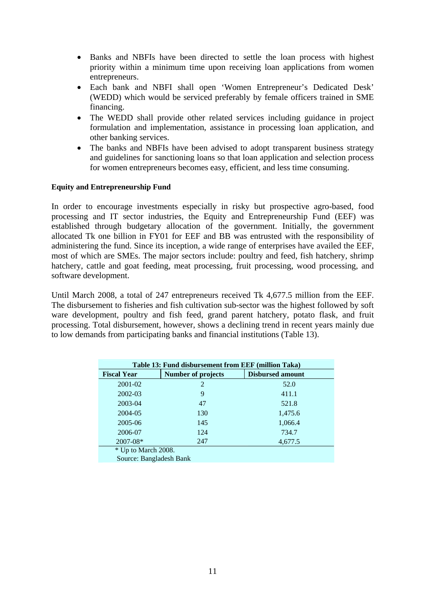- Banks and NBFIs have been directed to settle the loan process with highest priority within a minimum time upon receiving loan applications from women entrepreneurs.
- Each bank and NBFI shall open 'Women Entrepreneur's Dedicated Desk' (WEDD) which would be serviced preferably by female officers trained in SME financing.
- The WEDD shall provide other related services including guidance in project formulation and implementation, assistance in processing loan application, and other banking services.
- The banks and NBFIs have been advised to adopt transparent business strategy and guidelines for sanctioning loans so that loan application and selection process for women entrepreneurs becomes easy, efficient, and less time consuming.

# **Equity and Entrepreneurship Fund**

In order to encourage investments especially in risky but prospective agro-based, food processing and IT sector industries, the Equity and Entrepreneurship Fund (EEF) was established through budgetary allocation of the government. Initially, the government allocated Tk one billion in FY01 for EEF and BB was entrusted with the responsibility of administering the fund. Since its inception, a wide range of enterprises have availed the EEF, most of which are SMEs. The major sectors include: poultry and feed, fish hatchery, shrimp hatchery, cattle and goat feeding, meat processing, fruit processing, wood processing, and software development.

Until March 2008, a total of 247 entrepreneurs received Tk 4,677.5 million from the EEF. The disbursement to fisheries and fish cultivation sub-sector was the highest followed by soft ware development, poultry and fish feed, grand parent hatchery, potato flask, and fruit processing. Total disbursement, however, shows a declining trend in recent years mainly due to low demands from participating banks and financial institutions (Table 13).

| Table 13: Fund disbursement from EEF (million Taka) |                           |                         |  |  |
|-----------------------------------------------------|---------------------------|-------------------------|--|--|
| <b>Fiscal Year</b>                                  | <b>Number of projects</b> | <b>Disbursed amount</b> |  |  |
| 2001-02                                             | 2                         | 52.0                    |  |  |
| 2002-03                                             | 9                         | 411.1                   |  |  |
| 2003-04                                             | 47                        | 521.8                   |  |  |
| 2004-05                                             | 130                       | 1,475.6                 |  |  |
| 2005-06                                             | 145                       | 1,066.4                 |  |  |
| 2006-07                                             | 124                       | 734.7                   |  |  |
| $2007 - 08*$                                        | 247                       | 4,677.5                 |  |  |
| * Up to March 2008.                                 |                           |                         |  |  |
| Source: Bangladesh Bank                             |                           |                         |  |  |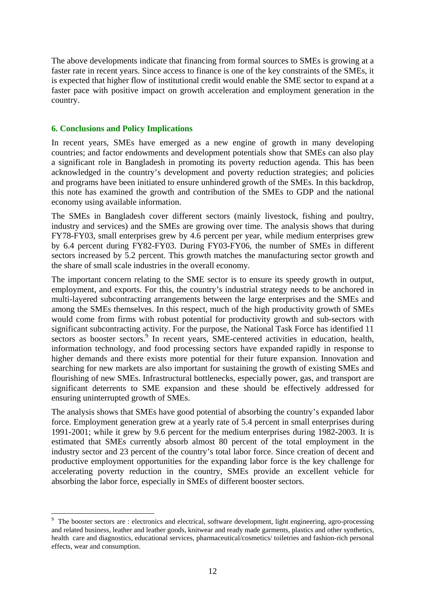The above developments indicate that financing from formal sources to SMEs is growing at a faster rate in recent years. Since access to finance is one of the key constraints of the SMEs, it is expected that higher flow of institutional credit would enable the SME sector to expand at a faster pace with positive impact on growth acceleration and employment generation in the country.

# **6. Conclusions and Policy Implications**

In recent years, SMEs have emerged as a new engine of growth in many developing countries; and factor endowments and development potentials show that SMEs can also play a significant role in Bangladesh in promoting its poverty reduction agenda. This has been acknowledged in the country's development and poverty reduction strategies; and policies and programs have been initiated to ensure unhindered growth of the SMEs. In this backdrop, this note has examined the growth and contribution of the SMEs to GDP and the national economy using available information.

The SMEs in Bangladesh cover different sectors (mainly livestock, fishing and poultry, industry and services) and the SMEs are growing over time. The analysis shows that during FY78-FY03, small enterprises grew by 4.6 percent per year, while medium enterprises grew by 6.4 percent during FY82-FY03. During FY03-FY06, the number of SMEs in different sectors increased by 5.2 percent. This growth matches the manufacturing sector growth and the share of small scale industries in the overall economy.

The important concern relating to the SME sector is to ensure its speedy growth in output, employment, and exports. For this, the country's industrial strategy needs to be anchored in multi-layered subcontracting arrangements between the large enterprises and the SMEs and among the SMEs themselves. In this respect, much of the high productivity growth of SMEs would come from firms with robust potential for productivity growth and sub-sectors with significant subcontracting activity. For the purpose, the National Task Force has identified 11 sectors as booster sectors.<sup>[9](#page-12-0)</sup> In recent years, SME-centered activities in education, health, information technology, and food processing sectors have expanded rapidly in response to higher demands and there exists more potential for their future expansion. Innovation and searching for new markets are also important for sustaining the growth of existing SMEs and flourishing of new SMEs. Infrastructural bottlenecks, especially power, gas, and transport are significant deterrents to SME expansion and these should be effectively addressed for ensuring uninterrupted growth of SMEs.

The analysis shows that SMEs have good potential of absorbing the country's expanded labor force. Employment generation grew at a yearly rate of 5.4 percent in small enterprises during 1991-2001; while it grew by 9.6 percent for the medium enterprises during 1982-2003. It is estimated that SMEs currently absorb almost 80 percent of the total employment in the industry sector and 23 percent of the country's total labor force. Since creation of decent and productive employment opportunities for the expanding labor force is the key challenge for accelerating poverty reduction in the country, SMEs provide an excellent vehicle for absorbing the labor force, especially in SMEs of different booster sectors.

<span id="page-12-0"></span><sup>&</sup>lt;sup>9</sup> The booster sectors are : electronics and electrical, software development, light engineering, agro-processing and related business, leather and leather goods, knitwear and ready made garments, plastics and other synthetics, health care and diagnostics, educational services, pharmaceutical/cosmetics/ toiletries and fashion-rich personal effects, wear and consumption.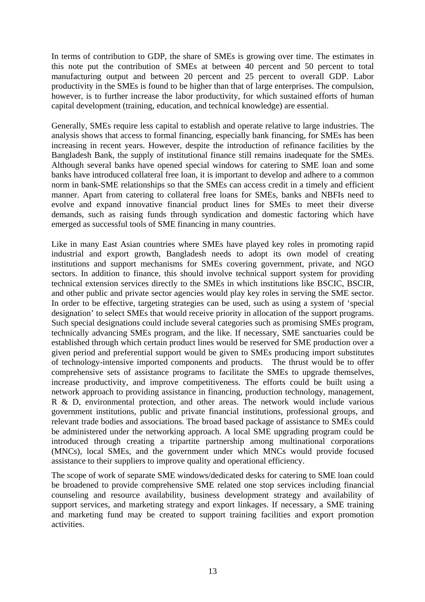In terms of contribution to GDP, the share of SMEs is growing over time. The estimates in this note put the contribution of SMEs at between 40 percent and 50 percent to total manufacturing output and between 20 percent and 25 percent to overall GDP. Labor productivity in the SMEs is found to be higher than that of large enterprises. The compulsion, however, is to further increase the labor productivity, for which sustained efforts of human capital development (training, education, and technical knowledge) are essential.

Generally, SMEs require less capital to establish and operate relative to large industries. The analysis shows that access to formal financing, especially bank financing, for SMEs has been increasing in recent years. However, despite the introduction of refinance facilities by the Bangladesh Bank, the supply of institutional finance still remains inadequate for the SMEs. Although several banks have opened special windows for catering to SME loan and some banks have introduced collateral free loan, it is important to develop and adhere to a common norm in bank-SME relationships so that the SMEs can access credit in a timely and efficient manner. Apart from catering to collateral free loans for SMEs, banks and NBFIs need to evolve and expand innovative financial product lines for SMEs to meet their diverse demands, such as raising funds through syndication and domestic factoring which have emerged as successful tools of SME financing in many countries.

Like in many East Asian countries where SMEs have played key roles in promoting rapid industrial and export growth, Bangladesh needs to adopt its own model of creating institutions and support mechanisms for SMEs covering government, private, and NGO sectors. In addition to finance, this should involve technical support system for providing technical extension services directly to the SMEs in which institutions like BSCIC, BSCIR, and other public and private sector agencies would play key roles in serving the SME sector. In order to be effective, targeting strategies can be used, such as using a system of 'special designation' to select SMEs that would receive priority in allocation of the support programs. Such special designations could include several categories such as promising SMEs program, technically advancing SMEs program, and the like. If necessary, SME sanctuaries could be established through which certain product lines would be reserved for SME production over a given period and preferential support would be given to SMEs producing import substitutes of technology-intensive imported components and products. The thrust would be to offer comprehensive sets of assistance programs to facilitate the SMEs to upgrade themselves, increase productivity, and improve competitiveness. The efforts could be built using a network approach to providing assistance in financing, production technology, management, R & D, environmental protection, and other areas. The network would include various government institutions, public and private financial institutions, professional groups, and relevant trade bodies and associations. The broad based package of assistance to SMEs could be administered under the networking approach. A local SME upgrading program could be introduced through creating a tripartite partnership among multinational corporations (MNCs), local SMEs, and the government under which MNCs would provide focused assistance to their suppliers to improve quality and operational efficiency.

The scope of work of separate SME windows/dedicated desks for catering to SME loan could be broadened to provide comprehensive SME related one stop services including financial counseling and resource availability, business development strategy and availability of support services, and marketing strategy and export linkages. If necessary, a SME training and marketing fund may be created to support training facilities and export promotion activities.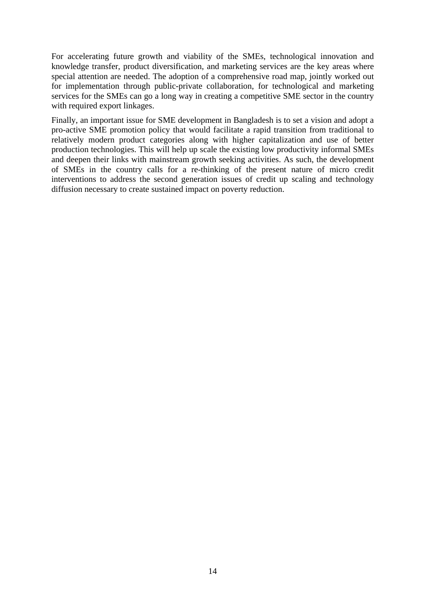For accelerating future growth and viability of the SMEs, technological innovation and knowledge transfer, product diversification, and marketing services are the key areas where special attention are needed. The adoption of a comprehensive road map, jointly worked out for implementation through public-private collaboration, for technological and marketing services for the SMEs can go a long way in creating a competitive SME sector in the country with required export linkages.

Finally, an important issue for SME development in Bangladesh is to set a vision and adopt a pro-active SME promotion policy that would facilitate a rapid transition from traditional to relatively modern product categories along with higher capitalization and use of better production technologies. This will help up scale the existing low productivity informal SMEs and deepen their links with mainstream growth seeking activities. As such, the development of SMEs in the country calls for a re-thinking of the present nature of micro credit interventions to address the second generation issues of credit up scaling and technology diffusion necessary to create sustained impact on poverty reduction.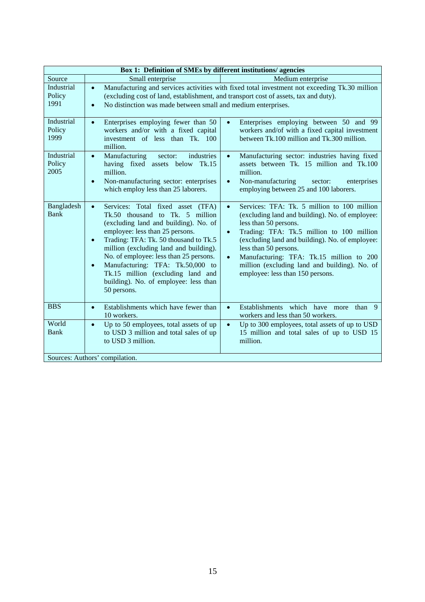| Box 1: Definition of SMEs by different institutions/agencies |                                                                                                                                                                                                                                                                                                                                                                                                                                                       |                                                                                                                                                                                                                                                                                                                                                                                                                          |  |  |  |
|--------------------------------------------------------------|-------------------------------------------------------------------------------------------------------------------------------------------------------------------------------------------------------------------------------------------------------------------------------------------------------------------------------------------------------------------------------------------------------------------------------------------------------|--------------------------------------------------------------------------------------------------------------------------------------------------------------------------------------------------------------------------------------------------------------------------------------------------------------------------------------------------------------------------------------------------------------------------|--|--|--|
| Source                                                       | Small enterprise                                                                                                                                                                                                                                                                                                                                                                                                                                      | Medium enterprise                                                                                                                                                                                                                                                                                                                                                                                                        |  |  |  |
| Industrial<br>Policy<br>1991                                 | Manufacturing and services activities with fixed total investment not exceeding Tk.30 million<br>$\bullet$<br>(excluding cost of land, establishment, and transport cost of assets, tax and duty).<br>No distinction was made between small and medium enterprises.<br>$\bullet$                                                                                                                                                                      |                                                                                                                                                                                                                                                                                                                                                                                                                          |  |  |  |
| Industrial<br>Policy<br>1999                                 | Enterprises employing fewer than 50<br>$\bullet$<br>workers and/or with a fixed capital<br>investment of less than Tk. 100<br>million.                                                                                                                                                                                                                                                                                                                | Enterprises employing between 50 and 99<br>$\bullet$<br>workers and/of with a fixed capital investment<br>between Tk.100 million and Tk.300 million.                                                                                                                                                                                                                                                                     |  |  |  |
| Industrial<br>Policy<br>2005                                 | Manufacturing<br>industries<br>sector:<br>$\bullet$<br>having fixed assets below<br>Tk.15<br>million.<br>Non-manufacturing sector: enterprises<br>$\bullet$<br>which employ less than 25 laborers.                                                                                                                                                                                                                                                    | Manufacturing sector: industries having fixed<br>$\bullet$<br>assets between Tk. 15 million and Tk.100<br>million.<br>Non-manufacturing<br>$\bullet$<br>sector:<br>enterprises<br>employing between 25 and 100 laborers.                                                                                                                                                                                                 |  |  |  |
| Bangladesh<br>Bank                                           | Services: Total fixed asset (TFA)<br>$\bullet$<br>Tk.50 thousand to Tk. 5 million<br>(excluding land and building). No. of<br>employee: less than 25 persons.<br>Trading: TFA: Tk. 50 thousand to Tk.5<br>$\bullet$<br>million (excluding land and building).<br>No. of employee: less than 25 persons.<br>Manufacturing: TFA: Tk.50,000 to<br>$\bullet$<br>Tk.15 million (excluding land and<br>building). No. of employee: less than<br>50 persons. | Services: TFA: Tk. 5 million to 100 million<br>$\bullet$<br>(excluding land and building). No. of employee:<br>less than 50 persons.<br>Trading: TFA: Tk.5 million to 100 million<br>$\bullet$<br>(excluding land and building). No. of employee:<br>less than 50 persons.<br>Manufacturing: TFA: Tk.15 million to 200<br>$\bullet$<br>million (excluding land and building). No. of<br>employee: less than 150 persons. |  |  |  |
| <b>BBS</b>                                                   | Establishments which have fewer than<br>$\bullet$<br>10 workers.                                                                                                                                                                                                                                                                                                                                                                                      | Establishments which have more<br>than $9$<br>$\bullet$<br>workers and less than 50 workers.                                                                                                                                                                                                                                                                                                                             |  |  |  |
| World<br><b>Bank</b>                                         | Up to 50 employees, total assets of up<br>$\bullet$<br>to USD 3 million and total sales of up<br>to USD 3 million.                                                                                                                                                                                                                                                                                                                                    | Up to 300 employees, total assets of up to USD<br>$\bullet$<br>15 million and total sales of up to USD 15<br>million.                                                                                                                                                                                                                                                                                                    |  |  |  |
| Sources: Authors' compilation.                               |                                                                                                                                                                                                                                                                                                                                                                                                                                                       |                                                                                                                                                                                                                                                                                                                                                                                                                          |  |  |  |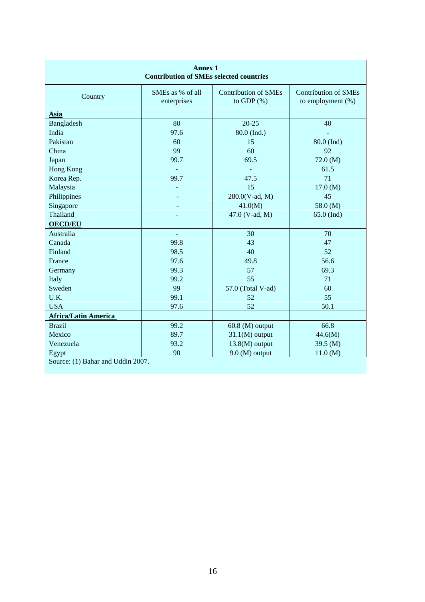| <b>Annex 1</b><br><b>Contribution of SMEs selected countries</b> |                                 |                                              |                                                     |  |
|------------------------------------------------------------------|---------------------------------|----------------------------------------------|-----------------------------------------------------|--|
| Country                                                          | SMEs as % of all<br>enterprises | <b>Contribution of SMEs</b><br>to GDP $(\%)$ | <b>Contribution of SMEs</b><br>to employment $(\%)$ |  |
| Asia                                                             |                                 |                                              |                                                     |  |
| Bangladesh                                                       | 80                              | $20 - 25$                                    | 40                                                  |  |
| India                                                            | 97.6                            | 80.0 (Ind.)                                  |                                                     |  |
| Pakistan                                                         | 60                              | 15                                           | 80.0 (Ind)                                          |  |
| China                                                            | 99                              | 60                                           | 92                                                  |  |
| Japan                                                            | 99.7                            | 69.5                                         | 72.0 (M)                                            |  |
| Hong Kong                                                        |                                 |                                              | 61.5                                                |  |
| Korea Rep.                                                       | 99.7                            | 47.5                                         | 71                                                  |  |
| Malaysia                                                         |                                 | 15                                           | 17.0 (M)                                            |  |
| Philippines                                                      |                                 | 280.0(V-ad, M)                               | 45                                                  |  |
| Singapore                                                        |                                 | 41.0(M)                                      | 58.0 (M)                                            |  |
| Thailand                                                         |                                 | 47.0 (V-ad, M)                               | 65.0 (Ind)                                          |  |
| <b>OECD/EU</b>                                                   |                                 |                                              |                                                     |  |
| Australia                                                        |                                 | 30                                           | 70                                                  |  |
| Canada                                                           | 99.8                            | 43                                           | 47                                                  |  |
| Finland                                                          | 98.5                            | 40                                           | 52                                                  |  |
| France                                                           | 97.6                            | 49.8                                         | 56.6                                                |  |
| Germany                                                          | 99.3                            | 57                                           | 69.3                                                |  |
| Italy                                                            | 99.2                            | 55                                           | 71                                                  |  |
| Sweden                                                           | 99                              | 57.0 (Total V-ad)                            | 60                                                  |  |
| U.K.                                                             | 99.1                            | 52                                           | 55                                                  |  |
| <b>USA</b>                                                       | 97.6                            | 52                                           | 50.1                                                |  |
| <b>Africa/Latin America</b>                                      |                                 |                                              |                                                     |  |
| <b>Brazil</b>                                                    | 99.2                            | $60.8$ (M) output                            | 66.8                                                |  |
| Mexico                                                           | 89.7                            | $31.1(M)$ output                             | 44.6(M)                                             |  |
| Venezuela                                                        | 93.2                            | $13.8(M)$ output                             | 39.5 (M)                                            |  |
| Egypt<br>$(1)$ D.1. 1 II11. 0007                                 | 90                              | $9.0$ (M) output                             | 11.0 (M)                                            |  |

Source: (1) Bahar and Uddin 2007.